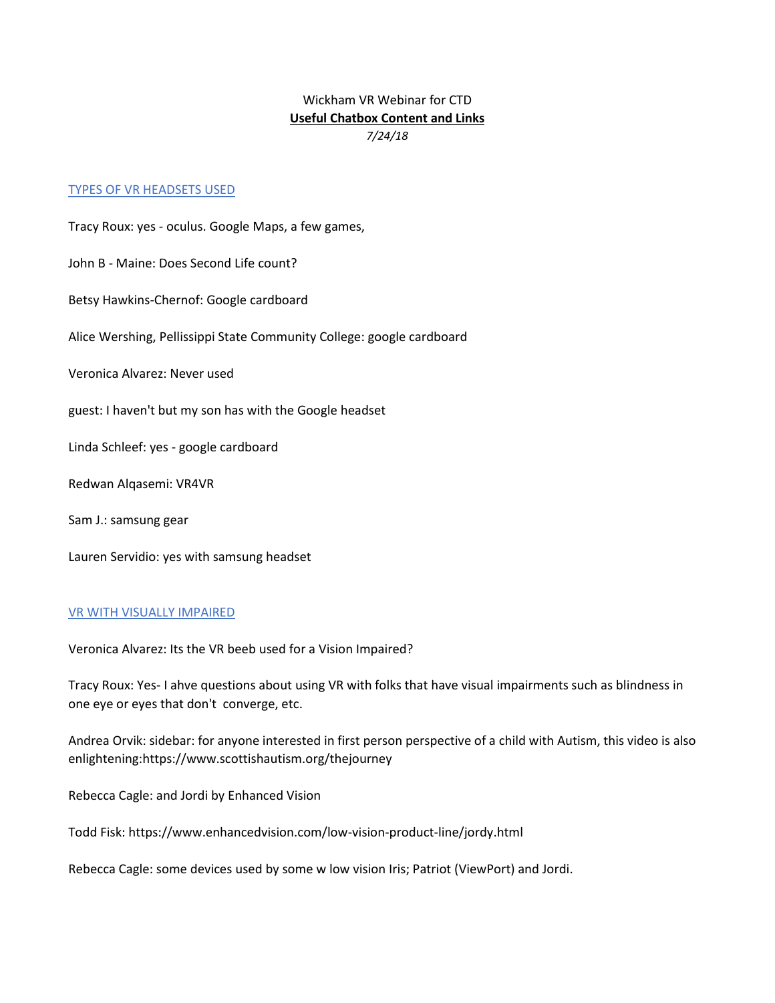# Wickham VR Webinar for CTD **Useful Chatbox Content and Links** *7/24/18*

### TYPES OF VR HEADSETS USED

Tracy Roux: yes - oculus. Google Maps, a few games, John B - Maine: Does Second Life count? Betsy Hawkins-Chernof: Google cardboard Alice Wershing, Pellissippi State Community College: google cardboard Veronica Alvarez: Never used guest: I haven't but my son has with the Google headset Linda Schleef: yes - google cardboard Redwan Alqasemi: VR4VR Sam J.: samsung gear Lauren Servidio: yes with samsung headset

## VR WITH VISUALLY IMPAIRED

Veronica Alvarez: Its the VR beeb used for a Vision Impaired?

Tracy Roux: Yes- I ahve questions about using VR with folks that have visual impairments such as blindness in one eye or eyes that don't converge, etc.

Andrea Orvik: sidebar: for anyone interested in first person perspective of a child with Autism, this video is also enlightening:https://www.scottishautism.org/thejourney

Rebecca Cagle: and Jordi by Enhanced Vision

Todd Fisk: https://www.enhancedvision.com/low-vision-product-line/jordy.html

Rebecca Cagle: some devices used by some w low vision Iris; Patriot (ViewPort) and Jordi.